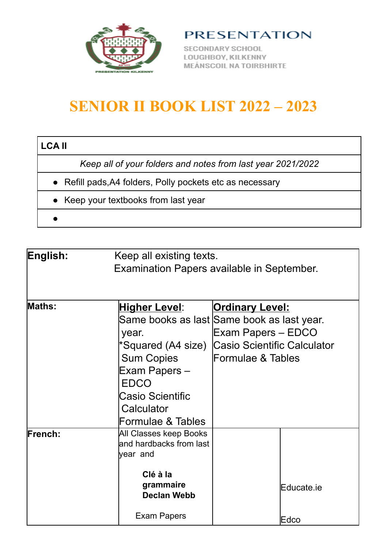

**SECONDARY SCHOOL** LOUGHBOY, KILKENNY MEÁNSCOIL NA TOIRBHIRTE

# **SENIOR II BOOK LIST 2022 – 2023**

#### **LCA II**

*Keep all of your folders and notes from last year 2021/2022*

- Refill pads,A4 folders, Polly pockets etc as necessary
- Keep your textbooks from last year
- $\bullet$
- 

| English:      | Keep all existing texts.                   |                                                                               |            |  |
|---------------|--------------------------------------------|-------------------------------------------------------------------------------|------------|--|
|               | Examination Papers available in September. |                                                                               |            |  |
|               |                                            |                                                                               |            |  |
|               |                                            |                                                                               |            |  |
| <b>Maths:</b> | Higher Level:                              | <b>Ordinary Level:</b>                                                        |            |  |
|               |                                            | Same books as last Same book as last year.                                    |            |  |
|               | year.                                      | <b>Exam Papers - EDCO</b><br>*Squared (A4 size)   Casio Scientific Calculator |            |  |
|               |                                            |                                                                               |            |  |
|               | <b>Sum Copies</b>                          | Formulae & Tables                                                             |            |  |
|               | Exam Papers –                              |                                                                               |            |  |
|               | <b>EDCO</b>                                |                                                                               |            |  |
|               | Casio Scientific                           |                                                                               |            |  |
|               | Calculator                                 |                                                                               |            |  |
|               | Formulae & Tables                          |                                                                               |            |  |
| French:       | All Classes keep Books                     |                                                                               |            |  |
|               | and hardbacks from last<br>year and        |                                                                               |            |  |
|               |                                            |                                                                               |            |  |
|               | Clé à la                                   |                                                                               |            |  |
|               | grammaire                                  |                                                                               | Educate.ie |  |
|               | <b>Declan Webb</b>                         |                                                                               |            |  |
|               | Exam Papers                                |                                                                               |            |  |
|               |                                            |                                                                               | Edco       |  |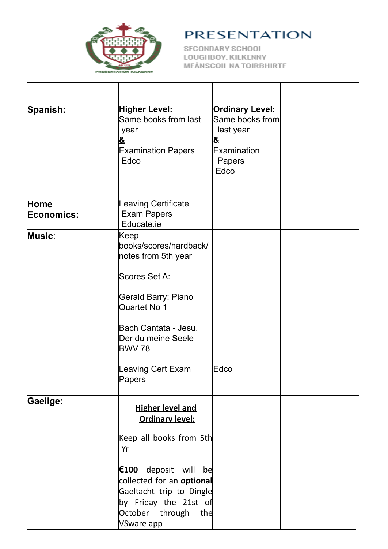

**SECONDARY SCHOOL** LOUGHBOY, KILKENNY MEÁNSCOIL NA TOIRBHIRTE

| Spanish:           | <u>Higher Level:</u><br>Same books from last<br>year<br>ŏ.<br><b>Examination Papers</b><br>Edco                                                                                                                                                   | <b>Ordinary Level:</b><br>Same books from<br>last year<br>8<br>Examination<br>Papers<br>Edco |  |
|--------------------|---------------------------------------------------------------------------------------------------------------------------------------------------------------------------------------------------------------------------------------------------|----------------------------------------------------------------------------------------------|--|
| Home<br>Economics: | eaving Certificate<br><b>Exam Papers</b><br>Educate.ie                                                                                                                                                                                            |                                                                                              |  |
| <b>Music:</b>      | Keep<br>books/scores/hardback/<br>notes from 5th year<br>Scores Set A:<br>Gerald Barry: Piano<br>Quartet No 1<br>Bach Cantata - Jesu,<br>Der du meine Seele<br><b>BWV 78</b><br>Leaving Cert Exam<br>Papers                                       | Edco                                                                                         |  |
| Gaeilge:           | <b>Higher level and</b><br><b>Ordinary level:</b><br>Keep all books from 5th<br>Yr<br>€100 deposit will<br>be<br>collected for an <b>optional</b><br>Gaeltacht trip to Dingle<br>by Friday the 21st of<br>October<br>through<br>the<br>VSware app |                                                                                              |  |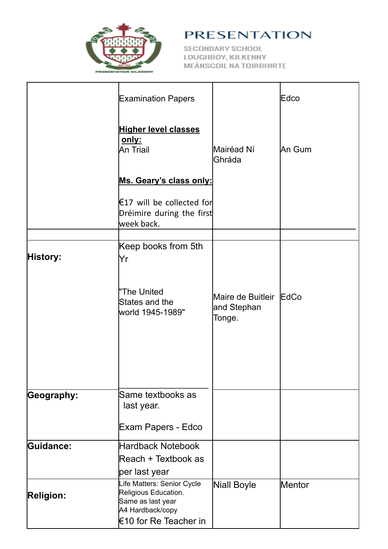

**SECONDARY SCHOOL** LOUGHBOY, KILKENNY MEÁNSCOIL NA TOIRBHIRTE

|                  | <b>Examination Papers</b>                                                                                            |                                                  | Edco          |
|------------------|----------------------------------------------------------------------------------------------------------------------|--------------------------------------------------|---------------|
|                  | <b>Higher level classes</b><br><u>only:</u><br>An Triail                                                             | Mairéad Ní<br>Ghráda                             | <b>An Gum</b> |
|                  | Ms. Geary's class only:                                                                                              |                                                  |               |
|                  | $\mathsf{\mathsf{\mathsf{\mathsf{E}17}}}$ will be collected for<br>Dréimire during the first<br>week back.           |                                                  |               |
|                  | Keep books from 5th                                                                                                  |                                                  |               |
| <b>History:</b>  | Yr                                                                                                                   |                                                  |               |
|                  | "The United<br>States and the<br>world 1945-1989"                                                                    | Maire de Buitleir lEdCo<br>and Stephan<br>Tonge. |               |
|                  |                                                                                                                      |                                                  |               |
| Geography:       | Same textbooks as<br>last year.                                                                                      |                                                  |               |
|                  | Exam Papers - Edco                                                                                                   |                                                  |               |
| <b>Guidance:</b> | Hardback Notebook<br>Reach + Textbook as<br>per last year                                                            |                                                  |               |
| <b>Religion:</b> | Life Matters: Senior Cycle<br>Religious Education.<br>Same as last year<br>A4 Hardback/copy<br>€10 for Re Teacher in | Niall Boyle                                      | Mentor        |